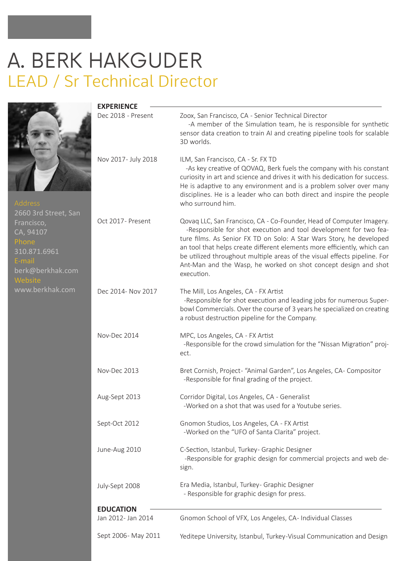# A. BERK HAKGUDER LEAD / Sr Technical Director



| <b>Address</b>       |         |
|----------------------|---------|
| 2660 3rd Street, San |         |
| Francisco,           | Oct 201 |
| CA, 94107            |         |
| Phone                |         |
| 310.871.6961         |         |
| E-mail               |         |
| berk@berkhak.com     |         |
| Website              |         |

| www.berkhak.com |  |  |
|-----------------|--|--|
|                 |  |  |

|                             | <b>EXPERIENCE</b><br>Dec 2018 - Present | Zoox, San Francisco, CA - Senior Technical Director<br>-A member of the Simulation team, he is responsible for synthetic<br>sensor data creation to train AI and creating pipeline tools for scalable<br>3D worlds.                                                                                                                                                                                                                                         |
|-----------------------------|-----------------------------------------|-------------------------------------------------------------------------------------------------------------------------------------------------------------------------------------------------------------------------------------------------------------------------------------------------------------------------------------------------------------------------------------------------------------------------------------------------------------|
|                             | Nov 2017- July 2018                     | ILM, San Francisco, CA - Sr. FX TD<br>-As key creative of QOVAQ, Berk fuels the company with his constant<br>curiosity in art and science and drives it with his dedication for success.<br>He is adaptive to any environment and is a problem solver over many<br>disciplines. He is a leader who can both direct and inspire the people<br>who surround him.                                                                                              |
| reet, San:<br>61<br>hak.com | Oct 2017- Present                       | Qovaq LLC, San Francisco, CA - Co-Founder, Head of Computer Imagery.<br>-Responsible for shot execution and tool development for two fea-<br>ture films. As Senior FX TD on Solo: A Star Wars Story, he developed<br>an tool that helps create different elements more efficiently, which can<br>be utilized throughout multiple areas of the visual effects pipeline. For<br>Ant-Man and the Wasp, he worked on shot concept design and shot<br>execution. |
| ak.com                      | Dec 2014- Nov 2017                      | The Mill, Los Angeles, CA - FX Artist<br>-Responsible for shot execution and leading jobs for numerous Super-<br>bowl Commercials. Over the course of 3 years he specialized on creating<br>a robust destruction pipeline for the Company.                                                                                                                                                                                                                  |
|                             | Nov-Dec 2014                            | MPC, Los Angeles, CA - FX Artist<br>-Responsible for the crowd simulation for the "Nissan Migration" proj-<br>ect.                                                                                                                                                                                                                                                                                                                                          |
|                             | Nov-Dec 2013                            | Bret Cornish, Project- "Animal Garden", Los Angeles, CA- Compositor<br>-Responsible for final grading of the project.                                                                                                                                                                                                                                                                                                                                       |
|                             | Aug-Sept 2013                           | Corridor Digital, Los Angeles, CA - Generalist<br>-Worked on a shot that was used for a Youtube series.                                                                                                                                                                                                                                                                                                                                                     |
|                             | Sept-Oct 2012                           | Gnomon Studios, Los Angeles, CA - FX Artist<br>-Worked on the "UFO of Santa Clarita" project.                                                                                                                                                                                                                                                                                                                                                               |
|                             | June-Aug 2010                           | C-Section, Istanbul, Turkey- Graphic Designer<br>-Responsible for graphic design for commercial projects and web de-<br>sign.                                                                                                                                                                                                                                                                                                                               |
|                             | July-Sept 2008                          | Era Media, Istanbul, Turkey- Graphic Designer<br>- Responsible for graphic design for press.                                                                                                                                                                                                                                                                                                                                                                |
|                             | <b>EDUCATION</b><br>Jan 2012- Jan 2014  | Gnomon School of VFX, Los Angeles, CA- Individual Classes                                                                                                                                                                                                                                                                                                                                                                                                   |
|                             | Sept 2006- May 2011                     | Yeditepe University, Istanbul, Turkey-Visual Communication and Design                                                                                                                                                                                                                                                                                                                                                                                       |